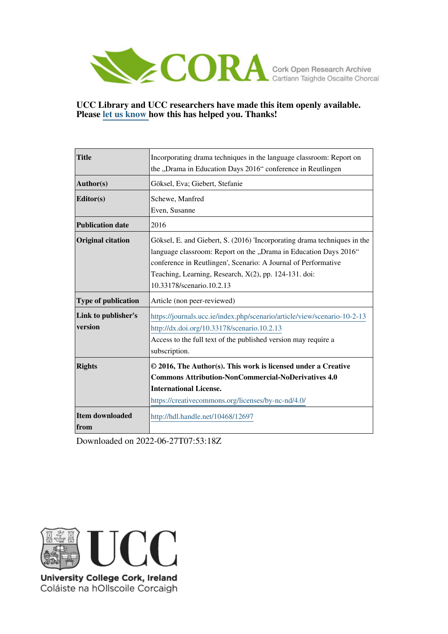

#### **UCC Library and UCC researchers have made this item openly available. Please [let us know h](https://libguides.ucc.ie/openaccess/impact?suffix=12697&title=Incorporating drama techniques in the language classroom: Report on the �Drama in Education Days 2016� conference in Reutlingen)ow this has helped you. Thanks!**

| <b>Title</b>             | Incorporating drama techniques in the language classroom: Report on      |
|--------------------------|--------------------------------------------------------------------------|
|                          | the "Drama in Education Days 2016" conference in Reutlingen              |
| Author(s)                | Göksel, Eva; Giebert, Stefanie                                           |
| Editor(s)                | Schewe, Manfred                                                          |
|                          | Even, Susanne                                                            |
| <b>Publication date</b>  | 2016                                                                     |
| <b>Original citation</b> | Göksel, E. and Giebert, S. (2016) Tneorporating drama techniques in the  |
|                          | language classroom: Report on the "Drama in Education Days 2016"         |
|                          | conference in Reutlingen', Scenario: A Journal of Performative           |
|                          | Teaching, Learning, Research, X(2), pp. 124-131. doi:                    |
|                          | 10.33178/scenario.10.2.13                                                |
| Type of publication      | Article (non peer-reviewed)                                              |
| Link to publisher's      | https://journals.ucc.ie/index.php/scenario/article/view/scenario-10-2-13 |
| version                  | http://dx.doi.org/10.33178/scenario.10.2.13                              |
|                          | Access to the full text of the published version may require a           |
|                          | subscription.                                                            |
| <b>Rights</b>            | © 2016, The Author(s). This work is licensed under a Creative            |
|                          |                                                                          |
|                          | <b>Commons Attribution-NonCommercial-NoDerivatives 4.0</b>               |
|                          | <b>International License.</b>                                            |
|                          | https://creativecommons.org/licenses/by-nc-nd/4.0/                       |
| <b>Item downloaded</b>   | http://hdl.handle.net/10468/12697                                        |

Downloaded on 2022-06-27T07:53:18Z



University College Cork, Ireland Coláiste na hOllscoile Corcaigh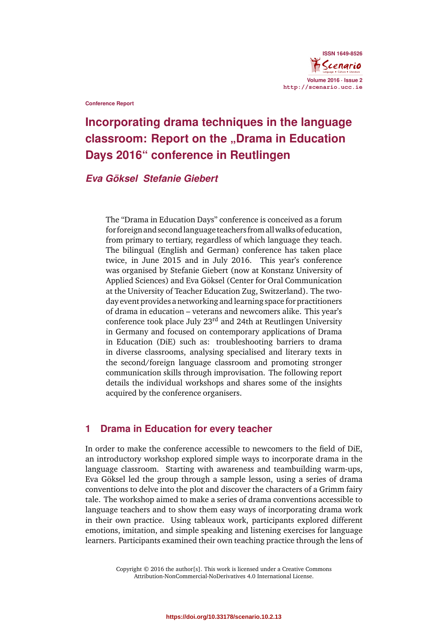

**Conference Report**

# **Incorporating drama techniques in the language classroom: Report on the "Drama in Education Days 2016" conference in Reutlingen**

#### *Eva Göksel Stefanie Giebert*

The "Drama in Education Days" conference is conceived as a forum for foreign and secondlanguage teachers from allwalks ofeducation, from primary to tertiary, regardless of which language they teach. The bilingual (English and German) conference has taken place twice, in June 2015 and in July 2016. This year's conference was organised by Stefanie Giebert (now at Konstanz University of Applied Sciences) and Eva Göksel (Center for Oral Communication at the University of Teacher Education Zug, Switzerland). The twoday event provides a networking and learning space for practitioners of drama in education – veterans and newcomers alike. This year's conference took place July 23rd and 24th at Reutlingen University in Germany and focused on contemporary applications of Drama in Education (DiE) such as: troubleshooting barriers to drama in diverse classrooms, analysing specialised and literary texts in the second/foreign language classroom and promoting stronger communication skills through improvisation. The following report details the individual workshops and shares some of the insights acquired by the conference organisers.

# **1 Drama in Education for every teacher**

In order to make the conference accessible to newcomers to the field of DiE, an introductory workshop explored simple ways to incorporate drama in the language classroom. Starting with awareness and teambuilding warm-ups, Eva Göksel led the group through a sample lesson, using a series of drama conventions to delve into the plot and discover the characters of a Grimm fairy tale. The workshop aimed to make a series of drama conventions accessible to language teachers and to show them easy ways of incorporating drama work in their own practice. Using tableaux work, participants explored different emotions, imitation, and simple speaking and listening exercises for language learners. Participants examined their own teaching practice through the lens of

> Copyright © 2016 the author[s]. This work is licensed under a Creative Commons Attribution-NonCommercial-NoDerivatives 4.0 International License.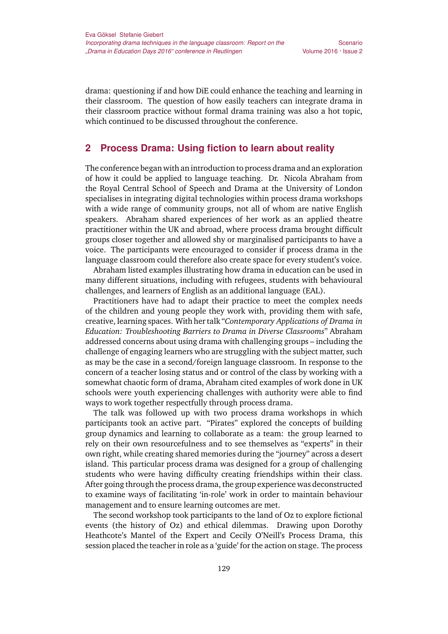drama: questioning if and how DiE could enhance the teaching and learning in their classroom. The question of how easily teachers can integrate drama in their classroom practice without formal drama training was also a hot topic, which continued to be discussed throughout the conference.

#### **2 Process Drama: Using fiction to learn about reality**

The conference began with an introduction to process drama and an exploration of how it could be applied to language teaching. Dr. Nicola Abraham from the Royal Central School of Speech and Drama at the University of London specialises in integrating digital technologies within process drama workshops with a wide range of community groups, not all of whom are native English speakers. Abraham shared experiences of her work as an applied theatre practitioner within the UK and abroad, where process drama brought difficult groups closer together and allowed shy or marginalised participants to have a voice. The participants were encouraged to consider if process drama in the language classroom could therefore also create space for every student's voice.

Abraham listed examples illustrating how drama in education can be used in many different situations, including with refugees, students with behavioural challenges, and learners of English as an additional language (EAL).

Practitioners have had to adapt their practice to meet the complex needs of the children and young people they work with, providing them with safe, creative, learning spaces. With her talk "*Contemporary Applications of Drama in Education: Troubleshooting Barriers to Drama in Diverse Classrooms*" Abraham addressed concerns about using drama with challenging groups – including the challenge of engaging learners who are struggling with the subject matter, such as may be the case in a second/foreign language classroom. In response to the concern of a teacher losing status and or control of the class by working with a somewhat chaotic form of drama, Abraham cited examples of work done in UK schools were youth experiencing challenges with authority were able to find ways to work together respectfully through process drama.

The talk was followed up with two process drama workshops in which participants took an active part. "Pirates" explored the concepts of building group dynamics and learning to collaborate as a team: the group learned to rely on their own resourcefulness and to see themselves as "experts" in their own right, while creating shared memories during the "journey" across a desert island. This particular process drama was designed for a group of challenging students who were having difficulty creating friendships within their class. After going through the process drama, the group experience was deconstructed to examine ways of facilitating 'in-role' work in order to maintain behaviour management and to ensure learning outcomes are met.

The second workshop took participants to the land of Oz to explore fictional events (the history of Oz) and ethical dilemmas. Drawing upon Dorothy Heathcote's Mantel of the Expert and Cecily O'Neill's Process Drama, this session placed the teacher in role as a 'guide' for the action on stage. The process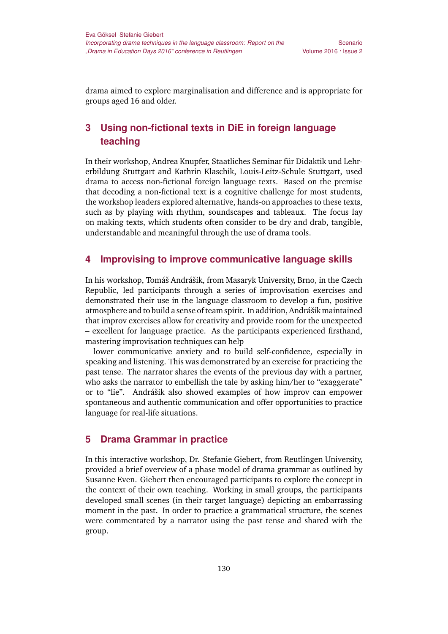drama aimed to explore marginalisation and difference and is appropriate for groups aged 16 and older.

# **3 Using non-fictional texts in DiE in foreign language teaching**

In their workshop, Andrea Knupfer, Staatliches Seminar für Didaktik und Lehrerbildung Stuttgart and Kathrin Klaschik, Louis-Leitz-Schule Stuttgart, used drama to access non-fictional foreign language texts. Based on the premise that decoding a non-fictional text is a cognitive challenge for most students, the workshop leaders explored alternative, hands-on approaches to these texts, such as by playing with rhythm, soundscapes and tableaux. The focus lay on making texts, which students often consider to be dry and drab, tangible, understandable and meaningful through the use of drama tools.

# **4 Improvising to improve communicative language skills**

In his workshop, Tomáš Andrášik, from Masaryk University, Brno, in the Czech Republic, led participants through a series of improvisation exercises and demonstrated their use in the language classroom to develop a fun, positive atmosphere and to build a sense of team spirit. In addition, Andrášik maintained that improv exercises allow for creativity and provide room for the unexpected – excellent for language practice. As the participants experienced firsthand, mastering improvisation techniques can help

lower communicative anxiety and to build self-confidence, especially in speaking and listening. This was demonstrated by an exercise for practicing the past tense. The narrator shares the events of the previous day with a partner, who asks the narrator to embellish the tale by asking him/her to "exaggerate" or to "lie". Andrášik also showed examples of how improv can empower spontaneous and authentic communication and offer opportunities to practice language for real-life situations.

# **5 Drama Grammar in practice**

In this interactive workshop, Dr. Stefanie Giebert, from Reutlingen University, provided a brief overview of a phase model of drama grammar as outlined by Susanne Even. Giebert then encouraged participants to explore the concept in the context of their own teaching. Working in small groups, the participants developed small scenes (in their target language) depicting an embarrassing moment in the past. In order to practice a grammatical structure, the scenes were commentated by a narrator using the past tense and shared with the group.